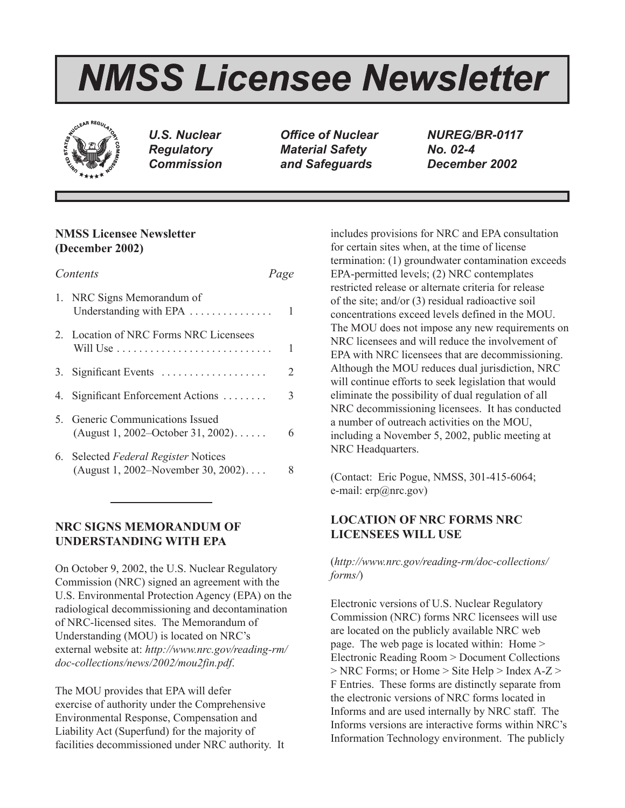# *NMSS Licensee Newsletter*



*U.S. Nuclear Regulatory Commission*

*Office of Nuclear Material Safety and Safeguards*

*NUREG/BR-0117 No. 02-4 December 2002*

# **NMSS Licensee Newsletter (December 2002)**

| Contents |                                                                                | Page |
|----------|--------------------------------------------------------------------------------|------|
|          | 1. NRC Signs Memorandum of<br>Understanding with EPA $\dots \dots \dots \dots$ | 1    |
|          | 2. Location of NRC Forms NRC Licensees                                         | 1    |
|          | 3. Significant Events                                                          | 2    |
|          | 4. Significant Enforcement Actions                                             | 3    |
|          | 5. Generic Communications Issued<br>(August 1, 2002–October 31, 2002)          | 6    |
|          | 6. Selected Federal Register Notices<br>(August 1, 2002–November 30, 2002)     |      |

# **NRC SIGNS MEMORANDUM OF UNDERSTANDING WITH EPA**

On October 9, 2002, the U.S. Nuclear Regulatory Commission (NRC) signed an agreement with the U.S. Environmental Protection Agency (EPA) on the radiological decommissioning and decontamination of NRC-licensed sites. The Memorandum of Understanding (MOU) is located on NRC's external website at: *http://www.nrc.gov/reading-rm/ doc-collections/news/2002/mou2fin.pdf*.

The MOU provides that EPA will defer exercise of authority under the Comprehensive Environmental Response, Compensation and Liability Act (Superfund) for the majority of facilities decommissioned under NRC authority. It includes provisions for NRC and EPA consultation for certain sites when, at the time of license termination: (1) groundwater contamination exceeds EPA-permitted levels; (2) NRC contemplates restricted release or alternate criteria for release of the site; and/or (3) residual radioactive soil concentrations exceed levels defined in the MOU. The MOU does not impose any new requirements on NRC licensees and will reduce the involvement of EPA with NRC licensees that are decommissioning. Although the MOU reduces dual jurisdiction, NRC will continue efforts to seek legislation that would eliminate the possibility of dual regulation of all NRC decommissioning licensees. It has conducted a number of outreach activities on the MOU, including a November 5, 2002, public meeting at NRC Headquarters.

(Contact: Eric Pogue, NMSS, 301-415-6064; e-mail: erp@nrc.gov)

# **LOCATION OF NRC FORMS NRC LICENSEES WILL USE**

(*http://www.nrc.gov/reading-rm/doc-collections/ forms/*)

Electronic versions of U.S. Nuclear Regulatory Commission (NRC) forms NRC licensees will use are located on the publicly available NRC web page. The web page is located within: Home > Electronic Reading Room > Document Collections > NRC Forms; or Home > Site Help > Index A-Z > F Entries. These forms are distinctly separate from the electronic versions of NRC forms located in Informs and are used internally by NRC staff. The Informs versions are interactive forms within NRC's Information Technology environment. The publicly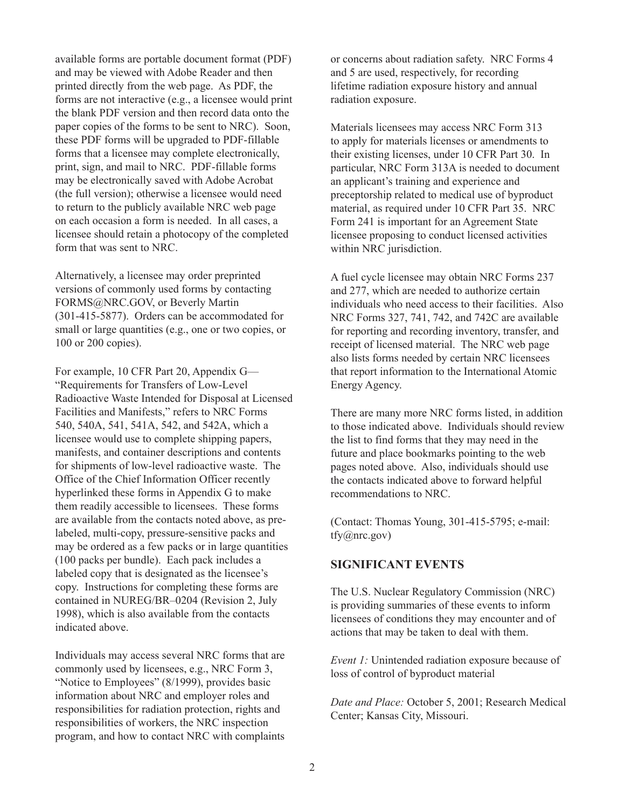available forms are portable document format (PDF) and may be viewed with Adobe Reader and then printed directly from the web page. As PDF, the forms are not interactive (e.g., a licensee would print the blank PDF version and then record data onto the paper copies of the forms to be sent to NRC). Soon, these PDF forms will be upgraded to PDF-fillable forms that a licensee may complete electronically, print, sign, and mail to NRC. PDF-fillable forms may be electronically saved with Adobe Acrobat (the full version); otherwise a licensee would need to return to the publicly available NRC web page on each occasion a form is needed. In all cases, a licensee should retain a photocopy of the completed form that was sent to NRC.

Alternatively, a licensee may order preprinted versions of commonly used forms by contacting FORMS@NRC.GOV, or Beverly Martin (301-415-5877). Orders can be accommodated for small or large quantities (e.g., one or two copies, or 100 or 200 copies).

For example, 10 CFR Part 20, Appendix G— "Requirements for Transfers of Low-Level Radioactive Waste Intended for Disposal at Licensed Facilities and Manifests," refers to NRC Forms 540, 540A, 541, 541A, 542, and 542A, which a licensee would use to complete shipping papers, manifests, and container descriptions and contents for shipments of low-level radioactive waste. The Office of the Chief Information Officer recently hyperlinked these forms in Appendix G to make them readily accessible to licensees. These forms are available from the contacts noted above, as prelabeled, multi-copy, pressure-sensitive packs and may be ordered as a few packs or in large quantities (100 packs per bundle). Each pack includes a labeled copy that is designated as the licensee's copy. Instructions for completing these forms are contained in NUREG/BR–0204 (Revision 2, July 1998), which is also available from the contacts indicated above.

Individuals may access several NRC forms that are commonly used by licensees, e.g., NRC Form 3, "Notice to Employees" (8/1999), provides basic information about NRC and employer roles and responsibilities for radiation protection, rights and responsibilities of workers, the NRC inspection program, and how to contact NRC with complaints or concerns about radiation safety. NRC Forms 4 and 5 are used, respectively, for recording lifetime radiation exposure history and annual radiation exposure.

Materials licensees may access NRC Form 313 to apply for materials licenses or amendments to their existing licenses, under 10 CFR Part 30. In particular, NRC Form 313A is needed to document an applicant's training and experience and preceptorship related to medical use of byproduct material, as required under 10 CFR Part 35. NRC Form 241 is important for an Agreement State licensee proposing to conduct licensed activities within NRC jurisdiction.

A fuel cycle licensee may obtain NRC Forms 237 and 277, which are needed to authorize certain individuals who need access to their facilities. Also NRC Forms 327, 741, 742, and 742C are available for reporting and recording inventory, transfer, and receipt of licensed material. The NRC web page also lists forms needed by certain NRC licensees that report information to the International Atomic Energy Agency.

There are many more NRC forms listed, in addition to those indicated above. Individuals should review the list to find forms that they may need in the future and place bookmarks pointing to the web pages noted above. Also, individuals should use the contacts indicated above to forward helpful recommendations to NRC.

(Contact: Thomas Young, 301-415-5795; e-mail: tfy@nrc.gov)

## **SIGNIFICANT EVENTS**

The U.S. Nuclear Regulatory Commission (NRC) is providing summaries of these events to inform licensees of conditions they may encounter and of actions that may be taken to deal with them.

*Event 1:* Unintended radiation exposure because of loss of control of byproduct material

*Date and Place:* October 5, 2001; Research Medical Center; Kansas City, Missouri.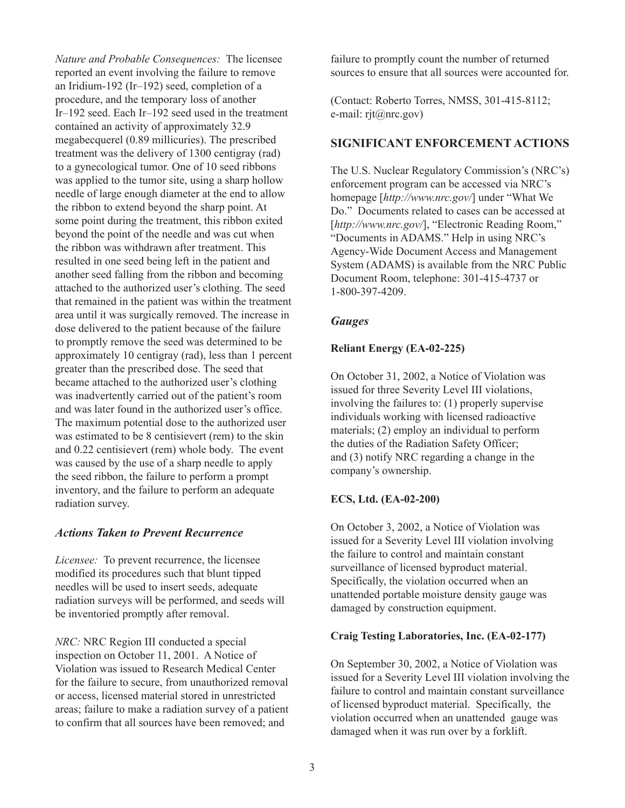*Nature and Probable Consequences:* The licensee reported an event involving the failure to remove an Iridium-192 (Ir–192) seed, completion of a procedure, and the temporary loss of another Ir–192 seed. Each Ir–192 seed used in the treatment contained an activity of approximately 32.9 megabecquerel (0.89 millicuries). The prescribed treatment was the delivery of 1300 centigray (rad) to a gynecological tumor. One of 10 seed ribbons was applied to the tumor site, using a sharp hollow needle of large enough diameter at the end to allow the ribbon to extend beyond the sharp point. At some point during the treatment, this ribbon exited beyond the point of the needle and was cut when the ribbon was withdrawn after treatment. This resulted in one seed being left in the patient and another seed falling from the ribbon and becoming attached to the authorized user's clothing. The seed that remained in the patient was within the treatment area until it was surgically removed. The increase in dose delivered to the patient because of the failure to promptly remove the seed was determined to be approximately 10 centigray (rad), less than 1 percent greater than the prescribed dose. The seed that became attached to the authorized user's clothing was inadvertently carried out of the patient's room and was later found in the authorized user's office. The maximum potential dose to the authorized user was estimated to be 8 centisievert (rem) to the skin and 0.22 centisievert (rem) whole body. The event was caused by the use of a sharp needle to apply the seed ribbon, the failure to perform a prompt inventory, and the failure to perform an adequate radiation survey.

## *Actions Taken to Prevent Recurrence*

*Licensee:* To prevent recurrence, the licensee modified its procedures such that blunt tipped needles will be used to insert seeds, adequate radiation surveys will be performed, and seeds will be inventoried promptly after removal.

*NRC:* NRC Region III conducted a special inspection on October 11, 2001. A Notice of Violation was issued to Research Medical Center for the failure to secure, from unauthorized removal or access, licensed material stored in unrestricted areas; failure to make a radiation survey of a patient to confirm that all sources have been removed; and

failure to promptly count the number of returned sources to ensure that all sources were accounted for.

(Contact: Roberto Torres, NMSS, 301-415-8112; e-mail: rit@nrc.gov)

#### **SIGNIFICANT ENFORCEMENT ACTIONS**

The U.S. Nuclear Regulatory Commission's (NRC's) enforcement program can be accessed via NRC's homepage [*http://www.nrc.gov/*] under "What We Do." Documents related to cases can be accessed at [http://www.nrc.gov/], "Electronic Reading Room," "Documents in ADAMS." Help in using NRC's Agency-Wide Document Access and Management System (ADAMS) is available from the NRC Public Document Room, telephone: 301-415-4737 or 1-800-397-4209.

### *Gauges*

### **Reliant Energy (EA-02-225)**

On October 31, 2002, a Notice of Violation was issued for three Severity Level III violations, involving the failures to: (1) properly supervise individuals working with licensed radioactive materials; (2) employ an individual to perform the duties of the Radiation Safety Officer; and (3) notify NRC regarding a change in the company's ownership.

#### **ECS, Ltd. (EA-02-200)**

On October 3, 2002, a Notice of Violation was issued for a Severity Level III violation involving the failure to control and maintain constant surveillance of licensed byproduct material. Specifically, the violation occurred when an unattended portable moisture density gauge was damaged by construction equipment.

#### **Craig Testing Laboratories, Inc. (EA-02-177)**

On September 30, 2002, a Notice of Violation was issued for a Severity Level III violation involving the failure to control and maintain constant surveillance of licensed byproduct material. Specifically, the violation occurred when an unattended gauge was damaged when it was run over by a forklift.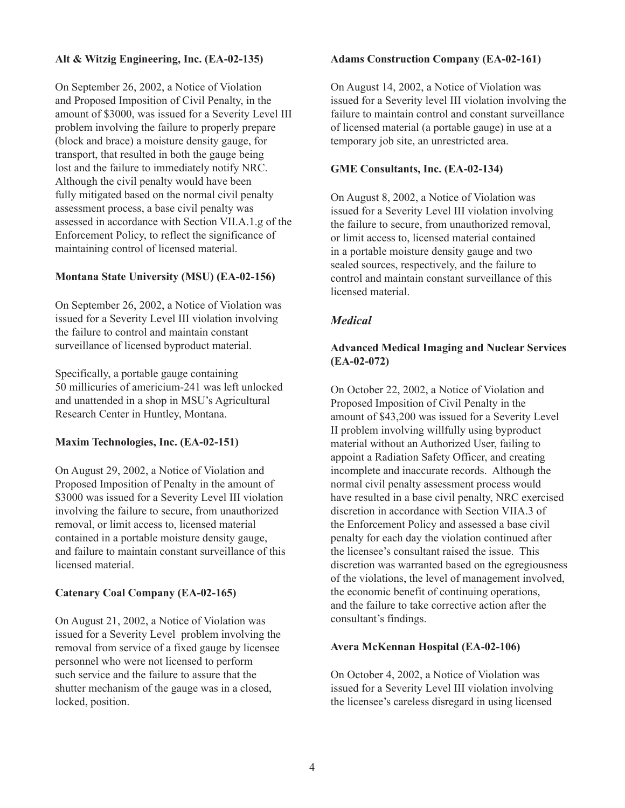## **Alt & Witzig Engineering, Inc. (EA-02-135)**

On September 26, 2002, a Notice of Violation and Proposed Imposition of Civil Penalty, in the amount of \$3000, was issued for a Severity Level III problem involving the failure to properly prepare (block and brace) a moisture density gauge, for transport, that resulted in both the gauge being lost and the failure to immediately notify NRC. Although the civil penalty would have been fully mitigated based on the normal civil penalty assessment process, a base civil penalty was assessed in accordance with Section VII.A.1.g of the Enforcement Policy, to reflect the significance of maintaining control of licensed material.

### **Montana State University (MSU) (EA-02-156)**

On September 26, 2002, a Notice of Violation was issued for a Severity Level III violation involving the failure to control and maintain constant surveillance of licensed byproduct material.

Specifically, a portable gauge containing 50 millicuries of americium-241 was left unlocked and unattended in a shop in MSU's Agricultural Research Center in Huntley, Montana.

#### **Maxim Technologies, Inc. (EA-02-151)**

On August 29, 2002, a Notice of Violation and Proposed Imposition of Penalty in the amount of \$3000 was issued for a Severity Level III violation involving the failure to secure, from unauthorized removal, or limit access to, licensed material contained in a portable moisture density gauge, and failure to maintain constant surveillance of this licensed material.

#### **Catenary Coal Company (EA-02-165)**

On August 21, 2002, a Notice of Violation was issued for a Severity Level problem involving the removal from service of a fixed gauge by licensee personnel who were not licensed to perform such service and the failure to assure that the shutter mechanism of the gauge was in a closed, locked, position.

#### **Adams Construction Company (EA-02-161)**

On August 14, 2002, a Notice of Violation was issued for a Severity level III violation involving the failure to maintain control and constant surveillance of licensed material (a portable gauge) in use at a temporary job site, an unrestricted area.

### **GME Consultants, Inc. (EA-02-134)**

On August 8, 2002, a Notice of Violation was issued for a Severity Level III violation involving the failure to secure, from unauthorized removal, or limit access to, licensed material contained in a portable moisture density gauge and two sealed sources, respectively, and the failure to control and maintain constant surveillance of this licensed material.

## *Medical*

## **Advanced Medical Imaging and Nuclear Services (EA-02-072)**

On October 22, 2002, a Notice of Violation and Proposed Imposition of Civil Penalty in the amount of \$43,200 was issued for a Severity Level II problem involving willfully using byproduct material without an Authorized User, failing to appoint a Radiation Safety Officer, and creating incomplete and inaccurate records. Although the normal civil penalty assessment process would have resulted in a base civil penalty, NRC exercised discretion in accordance with Section VIIA.3 of the Enforcement Policy and assessed a base civil penalty for each day the violation continued after the licensee's consultant raised the issue. This discretion was warranted based on the egregiousness of the violations, the level of management involved, the economic benefit of continuing operations, and the failure to take corrective action after the consultant's findings.

#### **Avera McKennan Hospital (EA-02-106)**

On October 4, 2002, a Notice of Violation was issued for a Severity Level III violation involving the licensee's careless disregard in using licensed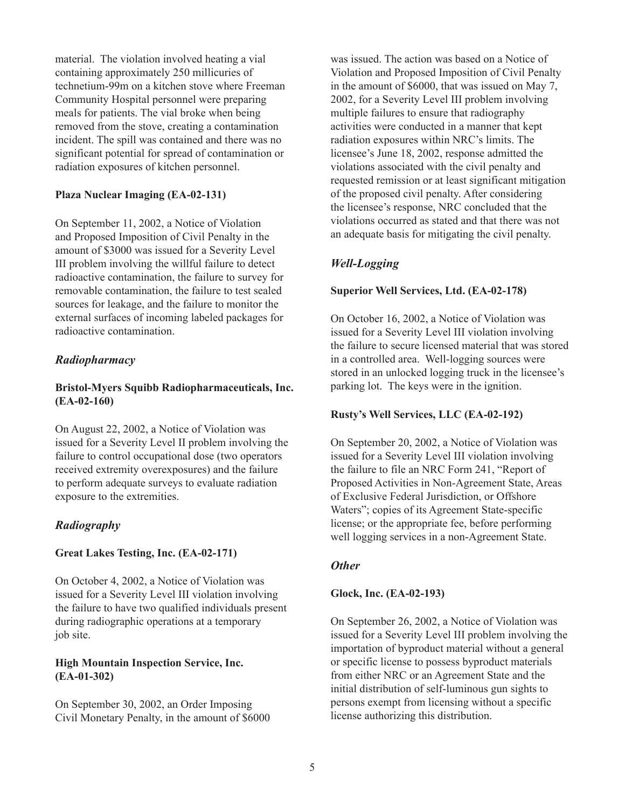material. The violation involved heating a vial containing approximately 250 millicuries of technetium-99m on a kitchen stove where Freeman Community Hospital personnel were preparing meals for patients. The vial broke when being removed from the stove, creating a contamination incident. The spill was contained and there was no significant potential for spread of contamination or radiation exposures of kitchen personnel.

#### **Plaza Nuclear Imaging (EA-02-131)**

On September 11, 2002, a Notice of Violation and Proposed Imposition of Civil Penalty in the amount of \$3000 was issued for a Severity Level III problem involving the willful failure to detect radioactive contamination, the failure to survey for removable contamination, the failure to test sealed sources for leakage, and the failure to monitor the external surfaces of incoming labeled packages for radioactive contamination.

### *Radiopharmacy*

## **Bristol-Myers Squibb Radiopharmaceuticals, Inc. (EA-02-160)**

On August 22, 2002, a Notice of Violation was issued for a Severity Level II problem involving the failure to control occupational dose (two operators received extremity overexposures) and the failure to perform adequate surveys to evaluate radiation exposure to the extremities.

## *Radiography*

#### **Great Lakes Testing, Inc. (EA-02-171)**

On October 4, 2002, a Notice of Violation was issued for a Severity Level III violation involving the failure to have two qualified individuals present during radiographic operations at a temporary job site.

#### **High Mountain Inspection Service, Inc. (EA-01-302)**

On September 30, 2002, an Order Imposing Civil Monetary Penalty, in the amount of \$6000 was issued. The action was based on a Notice of Violation and Proposed Imposition of Civil Penalty in the amount of \$6000, that was issued on May 7, 2002, for a Severity Level III problem involving multiple failures to ensure that radiography activities were conducted in a manner that kept radiation exposures within NRC's limits. The licensee's June 18, 2002, response admitted the violations associated with the civil penalty and requested remission or at least significant mitigation of the proposed civil penalty. After considering the licensee's response, NRC concluded that the violations occurred as stated and that there was not an adequate basis for mitigating the civil penalty.

## *Well-Logging*

#### **Superior Well Services, Ltd. (EA-02-178)**

On October 16, 2002, a Notice of Violation was issued for a Severity Level III violation involving the failure to secure licensed material that was stored in a controlled area. Well-logging sources were stored in an unlocked logging truck in the licensee's parking lot. The keys were in the ignition.

#### **Rusty's Well Services, LLC (EA-02-192)**

On September 20, 2002, a Notice of Violation was issued for a Severity Level III violation involving the failure to file an NRC Form 241, "Report of Proposed Activities in Non-Agreement State, Areas of Exclusive Federal Jurisdiction, or Offshore Waters"; copies of its Agreement State-specific license; or the appropriate fee, before performing well logging services in a non-Agreement State.

#### *Other*

#### **Glock, Inc. (EA-02-193)**

On September 26, 2002, a Notice of Violation was issued for a Severity Level III problem involving the importation of byproduct material without a general or specific license to possess byproduct materials from either NRC or an Agreement State and the initial distribution of self-luminous gun sights to persons exempt from licensing without a specific license authorizing this distribution.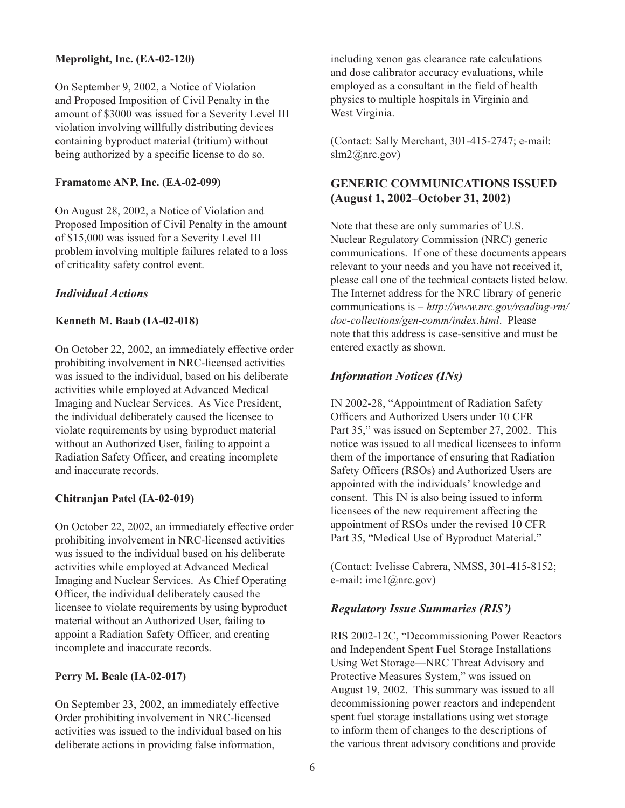## **Meprolight, Inc. (EA-02-120)**

On September 9, 2002, a Notice of Violation and Proposed Imposition of Civil Penalty in the amount of \$3000 was issued for a Severity Level III violation involving willfully distributing devices containing byproduct material (tritium) without being authorized by a specific license to do so.

### **Framatome ANP, Inc. (EA-02-099)**

On August 28, 2002, a Notice of Violation and Proposed Imposition of Civil Penalty in the amount of \$15,000 was issued for a Severity Level III problem involving multiple failures related to a loss of criticality safety control event.

## *Individual Actions*

## **Kenneth M. Baab (IA-02-018)**

On October 22, 2002, an immediately effective order prohibiting involvement in NRC-licensed activities was issued to the individual, based on his deliberate activities while employed at Advanced Medical Imaging and Nuclear Services. As Vice President, the individual deliberately caused the licensee to violate requirements by using byproduct material without an Authorized User, failing to appoint a Radiation Safety Officer, and creating incomplete and inaccurate records.

#### **Chitranjan Patel (IA-02-019)**

On October 22, 2002, an immediately effective order prohibiting involvement in NRC-licensed activities was issued to the individual based on his deliberate activities while employed at Advanced Medical Imaging and Nuclear Services. As Chief Operating Officer, the individual deliberately caused the licensee to violate requirements by using byproduct material without an Authorized User, failing to appoint a Radiation Safety Officer, and creating incomplete and inaccurate records.

#### **Perry M. Beale (IA-02-017)**

On September 23, 2002, an immediately effective Order prohibiting involvement in NRC-licensed activities was issued to the individual based on his deliberate actions in providing false information,

including xenon gas clearance rate calculations and dose calibrator accuracy evaluations, while employed as a consultant in the field of health physics to multiple hospitals in Virginia and West Virginia.

(Contact: Sally Merchant, 301-415-2747; e-mail: slm2@nrc.gov)

# **GENERIC COMMUNICATIONS ISSUED (August 1, 2002–October 31, 2002)**

Note that these are only summaries of U.S. Nuclear Regulatory Commission (NRC) generic communications. If one of these documents appears relevant to your needs and you have not received it, please call one of the technical contacts listed below. The Internet address for the NRC library of generic communications is – *http://www.nrc.gov/reading-rm/ doc-collections/gen-comm/index.html*. Please note that this address is case-sensitive and must be entered exactly as shown.

## *Information Notices (INs)*

IN 2002-28, "Appointment of Radiation Safety Officers and Authorized Users under 10 CFR Part 35," was issued on September 27, 2002. This notice was issued to all medical licensees to inform them of the importance of ensuring that Radiation Safety Officers (RSOs) and Authorized Users are appointed with the individuals' knowledge and consent. This IN is also being issued to inform licensees of the new requirement affecting the appointment of RSOs under the revised 10 CFR Part 35, "Medical Use of Byproduct Material."

(Contact: Ivelisse Cabrera, NMSS, 301-415-8152; e-mail: imc1@nrc.gov)

## *Regulatory Issue Summaries (RIS')*

RIS 2002-12C, "Decommissioning Power Reactors and Independent Spent Fuel Storage Installations Using Wet Storage—NRC Threat Advisory and Protective Measures System," was issued on August 19, 2002. This summary was issued to all decommissioning power reactors and independent spent fuel storage installations using wet storage to inform them of changes to the descriptions of the various threat advisory conditions and provide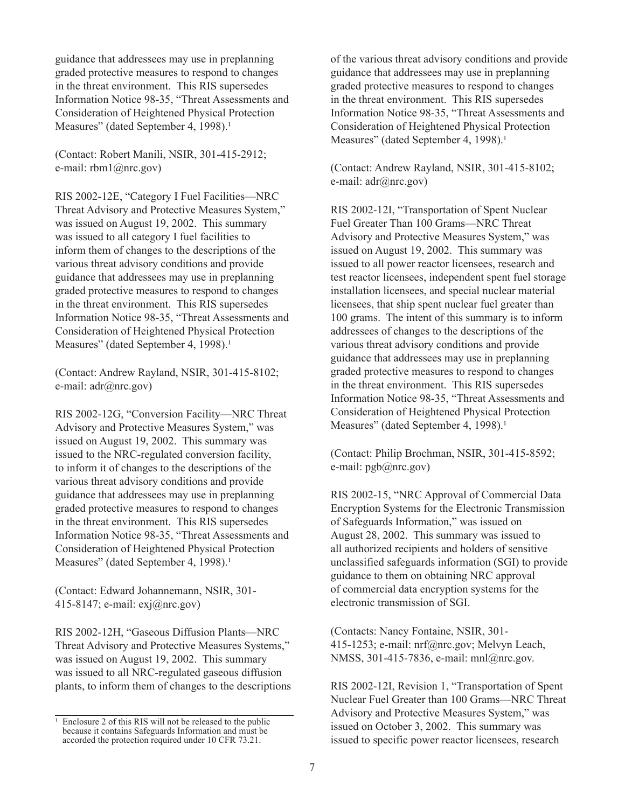guidance that addressees may use in preplanning graded protective measures to respond to changes in the threat environment. This RIS supersedes Information Notice 98-35, "Threat Assessments and Consideration of Heightened Physical Protection Measures" (dated September 4, 1998).<sup>1</sup>

(Contact: Robert Manili, NSIR, 301-415-2912; e-mail: rbm1@nrc.gov)

RIS 2002-12E, "Category I Fuel Facilities—NRC Threat Advisory and Protective Measures System," was issued on August 19, 2002. This summary was issued to all category I fuel facilities to inform them of changes to the descriptions of the various threat advisory conditions and provide guidance that addressees may use in preplanning graded protective measures to respond to changes in the threat environment. This RIS supersedes Information Notice 98-35, "Threat Assessments and Consideration of Heightened Physical Protection Measures" (dated September 4, 1998).<sup>1</sup>

(Contact: Andrew Rayland, NSIR, 301-415-8102; e-mail: adr@nrc.gov)

RIS 2002-12G, "Conversion Facility—NRC Threat Advisory and Protective Measures System," was issued on August 19, 2002. This summary was issued to the NRC-regulated conversion facility, to inform it of changes to the descriptions of the various threat advisory conditions and provide guidance that addressees may use in preplanning graded protective measures to respond to changes in the threat environment. This RIS supersedes Information Notice 98-35, "Threat Assessments and Consideration of Heightened Physical Protection Measures" (dated September 4, 1998).<sup>1</sup>

(Contact: Edward Johannemann, NSIR, 301- 415-8147; e-mail: exj@nrc.gov)

RIS 2002-12H, "Gaseous Diffusion Plants—NRC Threat Advisory and Protective Measures Systems," was issued on August 19, 2002. This summary was issued to all NRC-regulated gaseous diffusion plants, to inform them of changes to the descriptions of the various threat advisory conditions and provide guidance that addressees may use in preplanning graded protective measures to respond to changes in the threat environment. This RIS supersedes Information Notice 98-35, "Threat Assessments and Consideration of Heightened Physical Protection Measures" (dated September 4, 1998).<sup>1</sup>

(Contact: Andrew Rayland, NSIR, 301-415-8102; e-mail:  $adr(\hat{a})$ nrc.gov)

RIS 2002-12I, "Transportation of Spent Nuclear Fuel Greater Than 100 Grams—NRC Threat Advisory and Protective Measures System," was issued on August 19, 2002. This summary was issued to all power reactor licensees, research and test reactor licensees, independent spent fuel storage installation licensees, and special nuclear material licensees, that ship spent nuclear fuel greater than 100 grams. The intent of this summary is to inform addressees of changes to the descriptions of the various threat advisory conditions and provide guidance that addressees may use in preplanning graded protective measures to respond to changes in the threat environment. This RIS supersedes Information Notice 98-35, "Threat Assessments and Consideration of Heightened Physical Protection Measures" (dated September 4, 1998).<sup>1</sup>

(Contact: Philip Brochman, NSIR, 301-415-8592; e-mail: pgb@nrc.gov)

RIS 2002-15, "NRC Approval of Commercial Data Encryption Systems for the Electronic Transmission of Safeguards Information," was issued on August 28, 2002. This summary was issued to all authorized recipients and holders of sensitive unclassified safeguards information (SGI) to provide guidance to them on obtaining NRC approval of commercial data encryption systems for the electronic transmission of SGI.

(Contacts: Nancy Fontaine, NSIR, 301- 415-1253; e-mail: nrf@nrc.gov; Melvyn Leach, NMSS, 301-415-7836, e-mail: mnl@nrc.gov.

RIS 2002-12I, Revision 1, "Transportation of Spent Nuclear Fuel Greater than 100 Grams—NRC Threat Advisory and Protective Measures System," was issued on October 3, 2002. This summary was issued to specific power reactor licensees, research

 $\frac{1}{1}$  Enclosure 2 of this RIS will not be released to the public because it contains Safeguards Information and must be accorded the protection required under 10 CFR 73.21.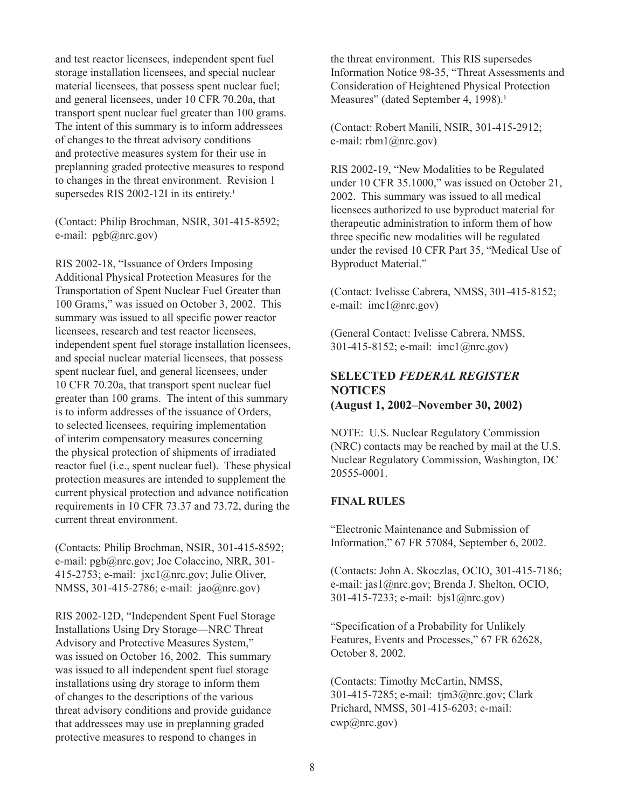and test reactor licensees, independent spent fuel storage installation licensees, and special nuclear material licensees, that possess spent nuclear fuel; and general licensees, under 10 CFR 70.20a, that transport spent nuclear fuel greater than 100 grams. The intent of this summary is to inform addressees of changes to the threat advisory conditions and protective measures system for their use in preplanning graded protective measures to respond to changes in the threat environment. Revision 1 supersedes RIS 2002-12I in its entirety.<sup>1</sup>

(Contact: Philip Brochman, NSIR, 301-415-8592; e-mail: pgb@nrc.gov)

RIS 2002-18, "Issuance of Orders Imposing Additional Physical Protection Measures for the Transportation of Spent Nuclear Fuel Greater than 100 Grams," was issued on October 3, 2002. This summary was issued to all specific power reactor licensees, research and test reactor licensees, independent spent fuel storage installation licensees, and special nuclear material licensees, that possess spent nuclear fuel, and general licensees, under 10 CFR 70.20a, that transport spent nuclear fuel greater than 100 grams. The intent of this summary is to inform addresses of the issuance of Orders, to selected licensees, requiring implementation of interim compensatory measures concerning the physical protection of shipments of irradiated reactor fuel (i.e., spent nuclear fuel). These physical protection measures are intended to supplement the current physical protection and advance notification requirements in 10 CFR 73.37 and 73.72, during the current threat environment.

(Contacts: Philip Brochman, NSIR, 301-415-8592; e-mail: pgb@nrc.gov; Joe Colaccino, NRR, 301- 415-2753; e-mail: jxc1@nrc.gov; Julie Oliver, NMSS, 301-415-2786; e-mail: jao@nrc.gov)

RIS 2002-12D, "Independent Spent Fuel Storage Installations Using Dry Storage—NRC Threat Advisory and Protective Measures System," was issued on October 16, 2002. This summary was issued to all independent spent fuel storage installations using dry storage to inform them of changes to the descriptions of the various threat advisory conditions and provide guidance that addressees may use in preplanning graded protective measures to respond to changes in

the threat environment. This RIS supersedes Information Notice 98-35, "Threat Assessments and Consideration of Heightened Physical Protection Measures" (dated September 4, 1998).<sup>1</sup>

(Contact: Robert Manili, NSIR, 301-415-2912; e-mail: rbm1@nrc.gov)

RIS 2002-19, "New Modalities to be Regulated under 10 CFR 35.1000," was issued on October 21, 2002. This summary was issued to all medical licensees authorized to use byproduct material for therapeutic administration to inform them of how three specific new modalities will be regulated under the revised 10 CFR Part 35, "Medical Use of Byproduct Material."

(Contact: Ivelisse Cabrera, NMSS, 301-415-8152; e-mail: imc1@nrc.gov)

(General Contact: Ivelisse Cabrera, NMSS, 301-415-8152; e-mail: imc1@nrc.gov)

## **SELECTED** *FEDERAL REGISTER* **NOTICES (August 1, 2002–November 30, 2002)**

NOTE: U.S. Nuclear Regulatory Commission (NRC) contacts may be reached by mail at the U.S. Nuclear Regulatory Commission, Washington, DC 20555-0001.

#### **FINAL RULES**

"Electronic Maintenance and Submission of Information," 67 FR 57084, September 6, 2002.

(Contacts: John A. Skoczlas, OCIO, 301-415-7186; e-mail: jas1@nrc.gov; Brenda J. Shelton, OCIO, 301-415-7233; e-mail: bjs1@nrc.gov)

"Specification of a Probability for Unlikely Features, Events and Processes," 67 FR 62628, October 8, 2002.

(Contacts: Timothy McCartin, NMSS, 301-415-7285; e-mail: tjm3@nrc.gov; Clark Prichard, NMSS, 301-415-6203; e-mail: cwp@nrc.gov)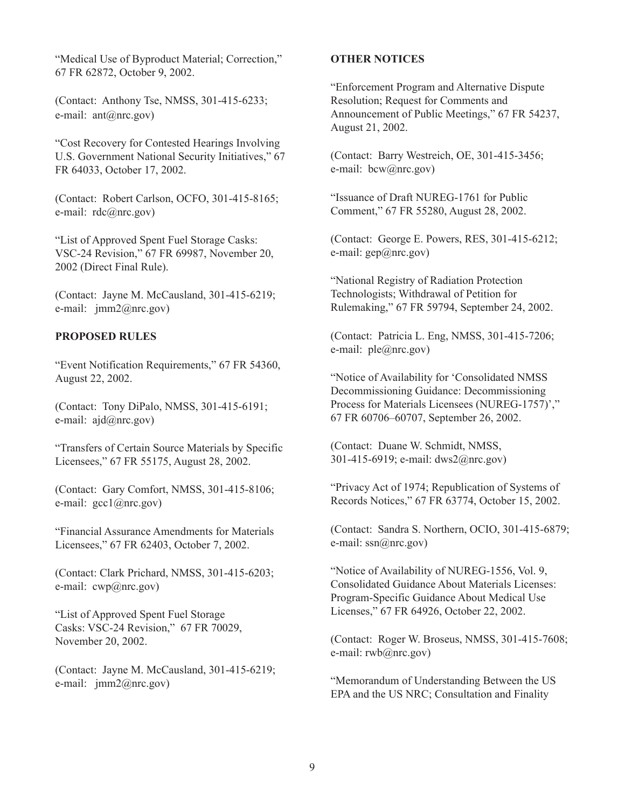"Medical Use of Byproduct Material; Correction," 67 FR 62872, October 9, 2002.

(Contact: Anthony Tse, NMSS, 301-415-6233; e-mail: ant@nrc.gov)

"Cost Recovery for Contested Hearings Involving U.S. Government National Security Initiatives," 67 FR 64033, October 17, 2002.

(Contact: Robert Carlson, OCFO, 301-415-8165; e-mail: rdc@nrc.gov)

"List of Approved Spent Fuel Storage Casks: VSC-24 Revision," 67 FR 69987, November 20, 2002 (Direct Final Rule).

(Contact: Jayne M. McCausland, 301-415-6219; e-mail: jmm2@nrc.gov)

### **PROPOSED RULES**

"Event Notification Requirements," 67 FR 54360, August 22, 2002.

(Contact: Tony DiPalo, NMSS, 301-415-6191; e-mail: ajd@nrc.gov)

"Transfers of Certain Source Materials by Specific Licensees," 67 FR 55175, August 28, 2002.

(Contact: Gary Comfort, NMSS, 301-415-8106; e-mail: gcc1@nrc.gov)

"Financial Assurance Amendments for Materials Licensees," 67 FR 62403, October 7, 2002.

(Contact: Clark Prichard, NMSS, 301-415-6203; e-mail: cwp@nrc.gov)

"List of Approved Spent Fuel Storage Casks: VSC-24 Revision," 67 FR 70029, November 20, 2002.

(Contact: Jayne M. McCausland, 301-415-6219; e-mail: jmm2@nrc.gov)

#### **OTHER NOTICES**

"Enforcement Program and Alternative Dispute Resolution; Request for Comments and Announcement of Public Meetings," 67 FR 54237, August 21, 2002.

(Contact: Barry Westreich, OE, 301-415-3456; e-mail: bcw@nrc.gov)

"Issuance of Draft NUREG-1761 for Public Comment," 67 FR 55280, August 28, 2002.

(Contact: George E. Powers, RES, 301-415-6212; e-mail: gep@nrc.gov)

"National Registry of Radiation Protection Technologists; Withdrawal of Petition for Rulemaking," 67 FR 59794, September 24, 2002.

(Contact: Patricia L. Eng, NMSS, 301-415-7206; e-mail: ple@nrc.gov)

"Notice of Availability for 'Consolidated NMSS Decommissioning Guidance: Decommissioning Process for Materials Licensees (NUREG-1757)'," 67 FR 60706–60707, September 26, 2002.

(Contact: Duane W. Schmidt, NMSS, 301-415-6919; e-mail: dws2@nrc.gov)

"Privacy Act of 1974; Republication of Systems of Records Notices," 67 FR 63774, October 15, 2002.

(Contact: Sandra S. Northern, OCIO, 301-415-6879; e-mail:  $ssn(\partial nmc.gov)$ 

"Notice of Availability of NUREG-1556, Vol. 9, Consolidated Guidance About Materials Licenses: Program-Specific Guidance About Medical Use Licenses," 67 FR 64926, October 22, 2002.

(Contact: Roger W. Broseus, NMSS, 301-415-7608; e-mail: rwb@nrc.gov)

"Memorandum of Understanding Between the US EPA and the US NRC; Consultation and Finality